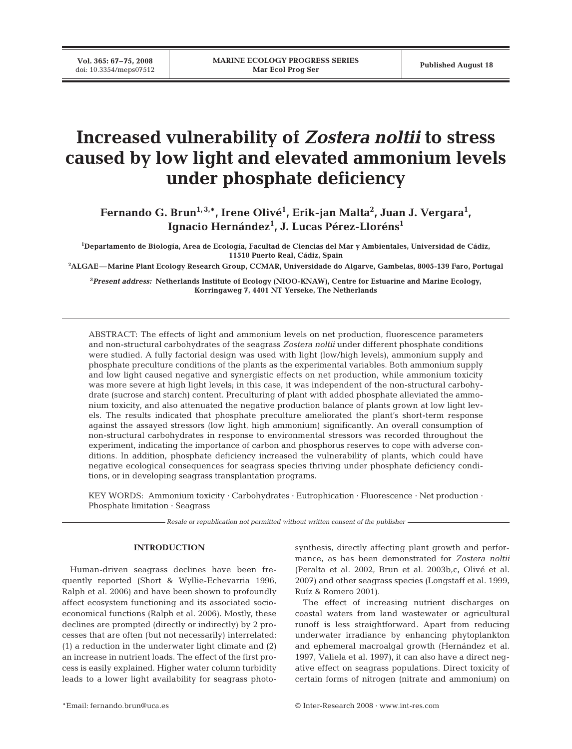**Vol. 365: 67–75, 2008**

# **Increased vulnerability of** *Zostera noltii* **to stress caused by low light and elevated ammonium levels under phosphate deficiency**

Fernando G. Brun<sup>1,3,\*</sup>, Irene Olivé<sup>1</sup>, Erik-jan Malta<sup>2</sup>, Juan J. Vergara<sup>1</sup>, **Ignacio Hernández1 , J. Lucas Pérez-Lloréns1**

**1 Departamento de Biología, Area de Ecología, Facultad de Ciencias del Mar y Ambientales, Universidad de Cádiz, 11510 Puerto Real, Cádiz, Spain**

**2 ALGAE—Marine Plant Ecology Research Group, CCMAR, Universidade do Algarve, Gambelas, 8005-139 Faro, Portugal**

**3** *Present address:* **Netherlands Institute of Ecology (NIOO-KNAW), Centre for Estuarine and Marine Ecology, Korringaweg 7, 4401 NT Yerseke, The Netherlands**

ABSTRACT: The effects of light and ammonium levels on net production, fluorescence parameters and non-structural carbohydrates of the seagrass *Zostera noltii* under different phosphate conditions were studied. A fully factorial design was used with light (low/high levels), ammonium supply and phosphate preculture conditions of the plants as the experimental variables. Both ammonium supply and low light caused negative and synergistic effects on net production, while ammonium toxicity was more severe at high light levels; in this case, it was independent of the non-structural carbohydrate (sucrose and starch) content. Preculturing of plant with added phosphate alleviated the ammonium toxicity, and also attenuated the negative production balance of plants grown at low light levels. The results indicated that phosphate preculture ameliorated the plant's short-term response against the assayed stressors (low light, high ammonium) significantly. An overall consumption of non-structural carbohydrates in response to environmental stressors was recorded throughout the experiment, indicating the importance of carbon and phosphorus reserves to cope with adverse conditions. In addition, phosphate deficiency increased the vulnerability of plants, which could have negative ecological consequences for seagrass species thriving under phosphate deficiency conditions, or in developing seagrass transplantation programs.

KEY WORDS: Ammonium toxicity · Carbohydrates · Eutrophication · Fluorescence · Net production · Phosphate limitation · Seagrass

*Resale or republication not permitted without written consent of the publisher*

#### **INTRODUCTION**

Human-driven seagrass declines have been frequently reported (Short & Wyllie-Echevarria 1996, Ralph et al. 2006) and have been shown to profoundly affect ecosystem functioning and its associated socioeconomical functions (Ralph et al. 2006). Mostly, these declines are prompted (directly or indirectly) by 2 processes that are often (but not necessarily) interrelated: (1) a reduction in the underwater light climate and (2) an increase in nutrient loads. The effect of the first process is easily explained. Higher water column turbidity leads to a lower light availability for seagrass photosynthesis, directly affecting plant growth and performance, as has been demonstrated for *Zostera noltii* (Peralta et al. 2002, Brun et al. 2003b,c, Olivé et al. 2007) and other seagrass species (Longstaff et al. 1999, Ruíz & Romero 2001).

The effect of increasing nutrient discharges on coastal waters from land wastewater or agricultural runoff is less straightforward. Apart from reducing underwater irradiance by enhancing phytoplankton and ephemeral macroalgal growth (Hernández et al. 1997, Valiela et al. 1997), it can also have a direct negative effect on seagrass populations. Direct toxicity of certain forms of nitrogen (nitrate and ammonium) on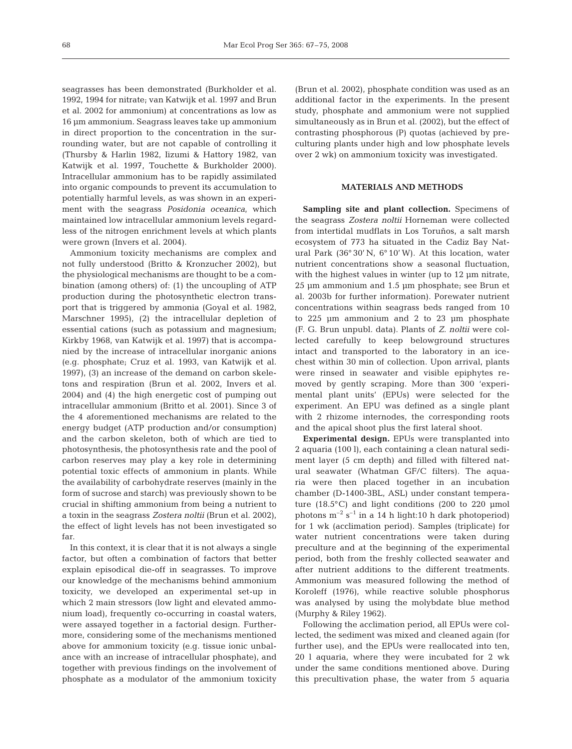seagrasses has been demonstrated (Burkholder et al. 1992, 1994 for nitrate; van Katwijk et al. 1997 and Brun et al. 2002 for ammonium) at concentrations as low as 16 µm ammonium. Seagrass leaves take up ammonium in direct proportion to the concentration in the surrounding water, but are not capable of controlling it (Thursby & Harlin 1982, Iizumi & Hattory 1982, van Katwijk et al. 1997, Touchette & Burkholder 2000). Intracellular ammonium has to be rapidly assimilated into organic compounds to prevent its accumulation to potentially harmful levels, as was shown in an experiment with the seagrass *Posidonia oceanica*, which maintained low intracellular ammonium levels regardless of the nitrogen enrichment levels at which plants were grown (Invers et al. 2004).

Ammonium toxicity mechanisms are complex and not fully understood (Britto & Kronzucher 2002), but the physiological mechanisms are thought to be a combination (among others) of: (1) the uncoupling of ATP production during the photosynthetic electron transport that is triggered by ammonia (Goyal et al. 1982, Marschner 1995), (2) the intracellular depletion of essential cations (such as potassium and magnesium; Kirkby 1968, van Katwijk et al. 1997) that is accompanied by the increase of intracellular inorganic anions (e.g. phosphate; Cruz et al. 1993, van Katwijk et al. 1997), (3) an increase of the demand on carbon skeletons and respiration (Brun et al. 2002, Invers et al. 2004) and (4) the high energetic cost of pumping out intracellular ammonium (Britto et al. 2001). Since 3 of the 4 aforementioned mechanisms are related to the energy budget (ATP production and/or consumption) and the carbon skeleton, both of which are tied to photosynthesis, the photosynthesis rate and the pool of carbon reserves may play a key role in determining potential toxic effects of ammonium in plants. While the availability of carbohydrate reserves (mainly in the form of sucrose and starch) was previously shown to be crucial in shifting ammonium from being a nutrient to a toxin in the seagrass *Zostera noltii* (Brun et al. 2002), the effect of light levels has not been investigated so far.

In this context, it is clear that it is not always a single factor, but often a combination of factors that better explain episodical die-off in seagrasses. To improve our knowledge of the mechanisms behind ammonium toxicity, we developed an experimental set-up in which 2 main stressors (low light and elevated ammonium load), frequently co-occurring in coastal waters, were assayed together in a factorial design. Furthermore, considering some of the mechanisms mentioned above for ammonium toxicity (e.g. tissue ionic unbalance with an increase of intracellular phosphate), and together with previous findings on the involvement of phosphate as a modulator of the ammonium toxicity

(Brun et al. 2002), phosphate condition was used as an additional factor in the experiments. In the present study, phosphate and ammonium were not supplied simultaneously as in Brun et al. (2002), but the effect of contrasting phosphorous (P) quotas (achieved by preculturing plants under high and low phosphate levels over 2 wk) on ammonium toxicity was investigated.

# **MATERIALS AND METHODS**

**Sampling site and plant collection.** Specimens of the seagrass *Zostera noltii* Horneman were collected from intertidal mudflats in Los Toruños, a salt marsh ecosystem of 773 ha situated in the Cadiz Bay Natural Park (36° 30' N, 6° 10' W). At this location, water nutrient concentrations show a seasonal fluctuation, with the highest values in winter (up to 12  $\mu$ m nitrate, 25 µm ammonium and 1.5 µm phosphate; see Brun et al. 2003b for further information). Porewater nutrient concentrations within seagrass beds ranged from 10 to 225 µm ammonium and 2 to 23 µm phosphate (F. G. Brun unpubl. data). Plants of *Z. noltii* were collected carefully to keep belowground structures intact and transported to the laboratory in an icechest within 30 min of collection. Upon arrival, plants were rinsed in seawater and visible epiphytes removed by gently scraping. More than 300 'experimental plant units' (EPUs) were selected for the experiment. An EPU was defined as a single plant with 2 rhizome internodes, the corresponding roots and the apical shoot plus the first lateral shoot.

**Experimental design.** EPUs were transplanted into 2 aquaria (100 l), each containing a clean natural sediment layer (5 cm depth) and filled with filtered natural seawater (Whatman GF/C filters). The aquaria were then placed together in an incubation chamber (D-1400-3BL, ASL) under constant temperature  $(18.5^{\circ}C)$  and light conditions  $(200 \text{ to } 220 \text{ \mu})$ photons  $m^{-2}$  s<sup>-1</sup> in a 14 h light:10 h dark photoperiod) for 1 wk (acclimation period). Samples (triplicate) for water nutrient concentrations were taken during preculture and at the beginning of the experimental period, both from the freshly collected seawater and after nutrient additions to the different treatments. Ammonium was measured following the method of Koroleff (1976), while reactive soluble phosphorus was analysed by using the molybdate blue method (Murphy & Riley 1962).

Following the acclimation period, all EPUs were collected, the sediment was mixed and cleaned again (for further use), and the EPUs were reallocated into ten, 20 l aquaria, where they were incubated for 2 wk under the same conditions mentioned above. During this precultivation phase, the water from 5 aquaria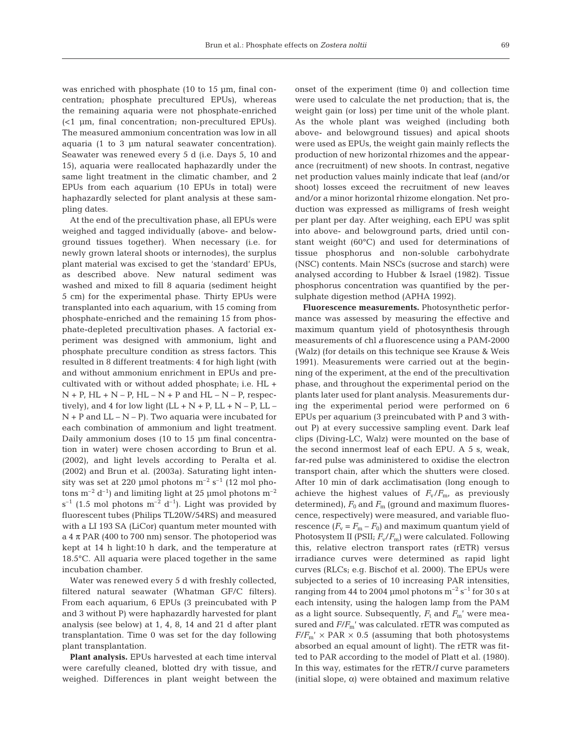was enriched with phosphate (10 to 15 µm, final concentration; phosphate precultured EPUs), whereas the remaining aquaria were not phosphate-enriched (<1 µm, final concentration; non-precultured EPUs). The measured ammonium concentration was low in all aquaria (1 to 3 µm natural seawater concentration). Seawater was renewed every 5 d (i.e. Days 5, 10 and 15), aquaria were reallocated haphazardly under the same light treatment in the climatic chamber, and 2 EPUs from each aquarium (10 EPUs in total) were haphazardly selected for plant analysis at these sampling dates.

At the end of the precultivation phase, all EPUs were weighed and tagged individually (above- and belowground tissues together). When necessary (i.e. for newly grown lateral shoots or internodes), the surplus plant material was excised to get the 'standard' EPUs, as described above. New natural sediment was washed and mixed to fill 8 aquaria (sediment height 5 cm) for the experimental phase. Thirty EPUs were transplanted into each aquarium, with 15 coming from phosphate-enriched and the remaining 15 from phosphate-depleted precultivation phases. A factorial experiment was designed with ammonium, light and phosphate preculture condition as stress factors. This resulted in 8 different treatments: 4 for high light (with and without ammonium enrichment in EPUs and precultivated with or without added phosphate; i.e. HL +  $N + P$ , HL  $+ N - P$ , HL  $- N + P$  and HL  $- N - P$ , respectively), and 4 for low light  $(LL + N + P, LL + N - P, LL - P)$  $N + P$  and  $LL - N - P$ ). Two aquaria were incubated for each combination of ammonium and light treatment. Daily ammonium doses (10 to 15 µm final concentration in water) were chosen according to Brun et al. (2002), and light levels according to Peralta et al. (2002) and Brun et al. (2003a). Saturating light intensity was set at 220 µmol photons  $m^{-2}$  s<sup>-1</sup> (12 mol photons  $m^{-2} d^{-1}$ ) and limiting light at 25 µmol photons  $m^{-2}$  $s^{-1}$  (1.5 mol photons  $m^{-2}$  d<sup>-1</sup>). Light was provided by fluorescent tubes (Philips TL20W/54RS) and measured with a LI 193 SA (LiCor) quantum meter mounted with a 4  $\pi$  PAR (400 to 700 nm) sensor. The photoperiod was kept at 14 h light:10 h dark, and the temperature at 18.5°C. All aquaria were placed together in the same incubation chamber.

Water was renewed every 5 d with freshly collected, filtered natural seawater (Whatman GF/C filters). From each aquarium, 6 EPUs (3 preincubated with P and 3 without P) were haphazardly harvested for plant analysis (see below) at 1, 4, 8, 14 and 21 d after plant transplantation. Time 0 was set for the day following plant transplantation.

**Plant analysis.** EPUs harvested at each time interval were carefully cleaned, blotted dry with tissue, and weighed. Differences in plant weight between the onset of the experiment (time 0) and collection time were used to calculate the net production; that is, the weight gain (or loss) per time unit of the whole plant. As the whole plant was weighed (including both above- and belowground tissues) and apical shoots were used as EPUs, the weight gain mainly reflects the production of new horizontal rhizomes and the appearance (recruitment) of new shoots. In contrast, negative net production values mainly indicate that leaf (and/or shoot) losses exceed the recruitment of new leaves and/or a minor horizontal rhizome elongation. Net production was expressed as milligrams of fresh weight per plant per day. After weighing, each EPU was split into above- and belowground parts, dried until constant weight (60°C) and used for determinations of tissue phosphorus and non-soluble carbohydrate (NSC) contents. Main NSCs (sucrose and starch) were analysed according to Hubber & Israel (1982). Tissue phosphorus concentration was quantified by the persulphate digestion method (APHA 1992).

**Fluorescence measurements.** Photosynthetic performance was assessed by measuring the effective and maximum quantum yield of photosynthesis through measurements of chl *a* fluorescence using a PAM-2000 (Walz) (for details on this technique see Krause & Weis 1991). Measurements were carried out at the beginning of the experiment, at the end of the precultivation phase, and throughout the experimental period on the plants later used for plant analysis. Measurements during the experimental period were performed on 6 EPUs per aquarium (3 preincubated with P and 3 without P) at every successive sampling event. Dark leaf clips (Diving-LC, Walz) were mounted on the base of the second innermost leaf of each EPU. A 5 s, weak, far-red pulse was administered to oxidise the electron transport chain, after which the shutters were closed. After 10 min of dark acclimatisation (long enough to achieve the highest values of  $F_v/F_{m}$ , as previously determined),  $F_0$  and  $F_m$  (ground and maximum fluorescence, respectively) were measured, and variable fluorescence  $(F_v = F_m - F_0)$  and maximum quantum yield of Photosystem II (PSII;  $F_v/F_m$ ) were calculated. Following this, relative electron transport rates (rETR) versus irradiance curves were determined as rapid light curves (RLCs; e.g. Bischof et al. 2000). The EPUs were subjected to a series of 10 increasing PAR intensities, ranging from 44 to 2004 µmol photons  $m^{-2}$  s<sup>-1</sup> for 30 s at each intensity, using the halogen lamp from the PAM as a light source. Subsequently,  $F_t$  and  $F_m'$  were measured and *F*/*F*m' was calculated. rETR was computed as  $F/F_{\rm m}$ <sup>'</sup> × PAR × 0.5 (assuming that both photosystems absorbed an equal amount of light). The rETR was fitted to PAR according to the model of Platt et al. (1980). In this way, estimates for the rETR/*I* curve parameters (initial slope, α) were obtained and maximum relative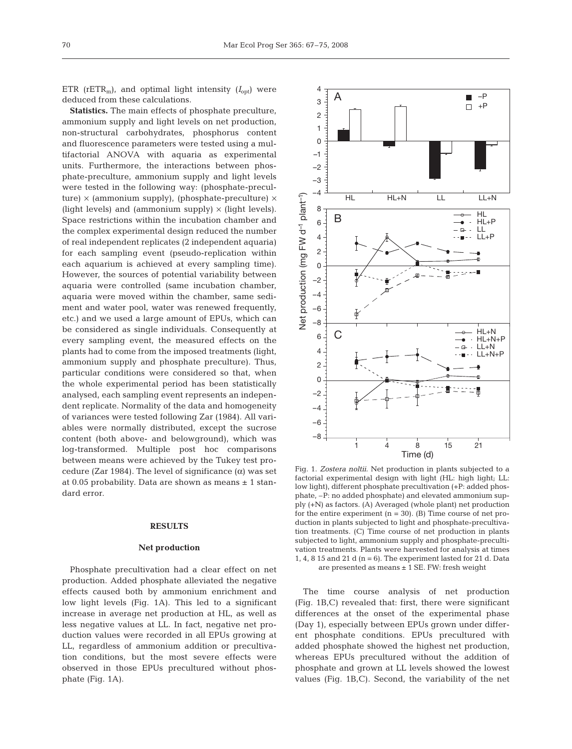ETR ( $rETR_m$ ), and optimal light intensity ( $I_{opt}$ ) were deduced from these calculations.

**Statistics.** The main effects of phosphate preculture, ammonium supply and light levels on net production, non-structural carbohydrates, phosphorus content and fluorescence parameters were tested using a multifactorial ANOVA with aquaria as experimental units. Furthermore, the interactions between phosphate-preculture, ammonium supply and light levels were tested in the following way: (phosphate-preculture)  $\times$  (ammonium supply), (phosphate-preculture)  $\times$ (light levels) and (ammonium supply)  $\times$  (light levels). Space restrictions within the incubation chamber and the complex experimental design reduced the number of real independent replicates (2 independent aquaria) for each sampling event (pseudo-replication within each aquarium is achieved at every sampling time). However, the sources of potential variability between aquaria were controlled (same incubation chamber, aquaria were moved within the chamber, same sediment and water pool, water was renewed frequently, etc.) and we used a large amount of EPUs, which can be considered as single individuals. Consequently at every sampling event, the measured effects on the plants had to come from the imposed treatments (light, ammonium supply and phosphate preculture). Thus, particular conditions were considered so that, when the whole experimental period has been statistically analysed, each sampling event represents an independent replicate. Normality of the data and homogeneity of variances were tested following Zar (1984). All variables were normally distributed, except the sucrose content (both above- and belowground), which was log-transformed. Multiple post hoc comparisons between means were achieved by the Tukey test procedure (Zar 1984). The level of significance  $(\alpha)$  was set at 0.05 probability. Data are shown as means  $\pm$  1 standard error.

# **RESULTS**

#### **Net production**

Phosphate precultivation had a clear effect on net production. Added phosphate alleviated the negative effects caused both by ammonium enrichment and low light levels (Fig. 1A). This led to a significant increase in average net production at HL, as well as less negative values at LL. In fact, negative net production values were recorded in all EPUs growing at LL, regardless of ammonium addition or precultivation conditions, but the most severe effects were observed in those EPUs precultured without phosphate (Fig. 1A).



Fig. 1. *Zostera noltii*. Net production in plants subjected to a factorial experimental design with light (HL: high light; LL: low light), different phosphate precultivation (+P: added phosphate, –P: no added phosphate) and elevated ammonium supply (+N) as factors. (A) Averaged (whole plant) net production for the entire experiment  $(n = 30)$ . (B) Time course of net production in plants subjected to light and phosphate-precultivation treatments. (C) Time course of net production in plants subjected to light, ammonium supply and phosphate-precultivation treatments. Plants were harvested for analysis at times 1, 4, 8 15 and 21 d ( $n = 6$ ). The experiment lasted for 21 d. Data are presented as means ± 1 SE. FW: fresh weight

The time course analysis of net production (Fig. 1B,C) revealed that: first, there were significant differences at the onset of the experimental phase (Day 1), especially between EPUs grown under different phosphate conditions. EPUs precultured with added phosphate showed the highest net production, whereas EPUs precultured without the addition of phosphate and grown at LL levels showed the lowest values (Fig. 1B,C). Second, the variability of the net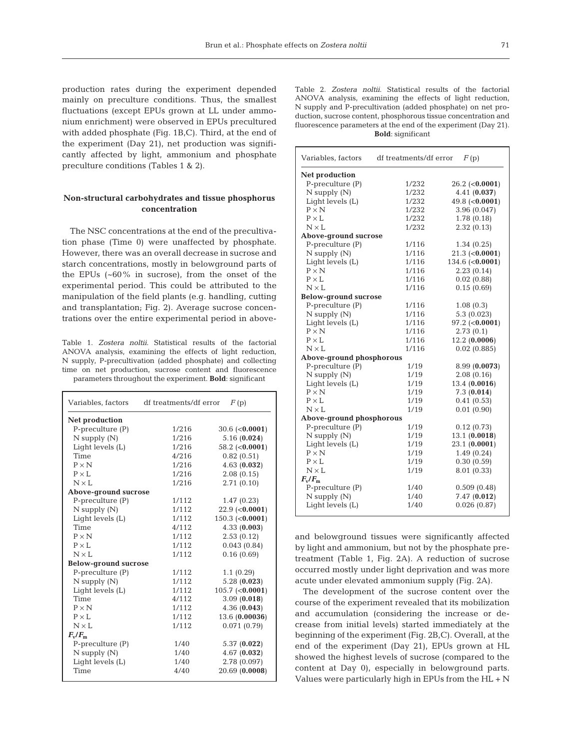production rates during the experiment depended mainly on preculture conditions. Thus, the smallest fluctuations (except EPUs grown at LL under ammonium enrichment) were observed in EPUs precultured with added phosphate (Fig. 1B,C). Third, at the end of the experiment (Day 21), net production was significantly affected by light, ammonium and phosphate preculture conditions (Tables 1 & 2).

# **Non-structural carbohydrates and tissue phosphorus concentration**

The NSC concentrations at the end of the precultivation phase (Time 0) were unaffected by phosphate. However, there was an overall decrease in sucrose and starch concentrations, mostly in belowground parts of the EPUs (~60% in sucrose), from the onset of the experimental period. This could be attributed to the manipulation of the field plants (e.g. handling, cutting and transplantation; Fig. 2). Average sucrose concentrations over the entire experimental period in above-

Table 1. *Zostera noltii*. Statistical results of the factorial ANOVA analysis, examining the effects of light reduction, N supply, P-precultivation (added phosphate) and collecting time on net production, sucrose content and fluorescence parameters throughout the experiment. **Bold**: significant

| Variables, factors          | df treatments/df error | F(p)              |
|-----------------------------|------------------------|-------------------|
| Net production              |                        |                   |
| P-preculture (P)            | 1/216                  | $30.6$ (<0.0001)  |
| $N$ supply $(N)$            | 1/216                  | 5.16(0.024)       |
| Light levels (L)            | 1/216                  | 58.2 $(0.0001)$   |
| Time                        | 4/216                  | 0.82(0.51)        |
| $P \times N$                | 1/216                  | 4.63(0.032)       |
| $P \times L$                | 1/216                  | 2.08(0.15)        |
| $N \times L$                | 1/216                  | 2.71(0.10)        |
| Above-ground sucrose        |                        |                   |
| $P$ -preculture $(P)$       | 1/112                  | 1.47(0.23)        |
| $N$ supply $(N)$            | 1/112                  | $22.9$ (<0.0001)  |
| Light levels (L)            | 1/112                  | $150.3$ (<0.0001) |
| Time                        | 4/112                  | 4.33(0.003)       |
| $P \times N$                | 1/112                  | 2.53(0.12)        |
| $P \times L$                | 1/112                  | 0.043(0.84)       |
| $N \times I$ .              | 1/112                  | 0.16(0.69)        |
| <b>Below-ground sucrose</b> |                        |                   |
| $P$ -preculture $(P)$       | 1/112                  | 1.1(0.29)         |
| $N$ supply $(N)$            | 1/112                  | 5.28(0.023)       |
| Light levels (L)            | 1/112                  | $105.7$ (<0.0001) |
| Time                        | 4/112                  | 3.09(0.018)       |
| $P \times N$                | 1/112                  | 4.36(0.043)       |
| $P \times L$                | 1/112                  | 13.6 (0.00036)    |
| $N \times L$                | 1/112                  | 0.071(0.79)       |
| $F_v/F_m$                   |                        |                   |
| $P$ -preculture $(P)$       | 1/40                   | 5.37(0.022)       |
| $N$ supply $(N)$            | 1/40                   | 4.67(0.032)       |
| Light levels (L)            | 1/40                   | 2.78 (0.097)      |
| Time                        | 4/40                   | 20.69 (0.0008)    |

Table 2. *Zostera noltii*. Statistical results of the factorial ANOVA analysis, examining the effects of light reduction, N supply and P-precultivation (added phosphate) on net production, sucrose content, phosphorous tissue concentration and fluorescence parameters at the end of the experiment (Day 21). **Bold**: significant

| Variables, factors          | df treatments/df error | F(p)             |  |  |  |
|-----------------------------|------------------------|------------------|--|--|--|
| <b>Net production</b>       |                        |                  |  |  |  |
| $P$ -preculture $(P)$       | 1/232                  | $26.2$ (<0.0001) |  |  |  |
| $N$ supply $(N)$            | 1/232                  | 4.41(0.037)      |  |  |  |
| Light levels (L)            | 1/232                  | 49.8 $(0.0001)$  |  |  |  |
| $P \times N$                | 1/232                  | 3.96 (0.047)     |  |  |  |
| $P \times L$                | 1/232                  | 1.78 (0.18)      |  |  |  |
| $N \times L$                | 1/232                  | 2.32(0.13)       |  |  |  |
| Above-ground sucrose        |                        |                  |  |  |  |
| $P$ -preculture $(P)$       | 1/116                  | 1.34(0.25)       |  |  |  |
| $N$ supply $(N)$            | 1/116                  | $21.3$ (<0.0001) |  |  |  |
| Light levels (L)            | 1/116                  | 134.6 $(0.0001)$ |  |  |  |
| $P \times N$                | 1/116                  | 2.23(0.14)       |  |  |  |
| $P \times L$                | 1/116                  | 0.02(0.88)       |  |  |  |
| $N \times L$                | 1/116                  | 0.15(0.69)       |  |  |  |
| <b>Below-ground sucrose</b> |                        |                  |  |  |  |
| $P$ -preculture $(P)$       | 1/116                  | 1.08(0.3)        |  |  |  |
| $N$ supply $(N)$            | 1/116                  | 5.3(0.023)       |  |  |  |
| Light levels (L)            | 1/116                  | $97.2$ (<0.0001) |  |  |  |
| $P \times N$                | 1/116                  | 2.73(0.1)        |  |  |  |
| $\text{P}\times\text{L}$    | 1/116                  | 12.2(0.0006)     |  |  |  |
| $N \times L$                | 1/116                  | 0.02(0.885)      |  |  |  |
| Above-ground phosphorous    |                        |                  |  |  |  |
| P-preculture (P)            | 1/19                   | 8.99 (0.0073)    |  |  |  |
| $N$ supply $(N)$            | 1/19                   | 2.08(0.16)       |  |  |  |
| Light levels (L)            | 1/19                   | 13.4 (0.0016)    |  |  |  |
| $P \times N$                | 1/19                   | 7.3(0.014)       |  |  |  |
| $P \times L$                | 1/19                   | 0.41(0.53)       |  |  |  |
| $N \times L$                | 1/19                   | 0.01(0.90)       |  |  |  |
| Above-ground phosphorous    |                        |                  |  |  |  |
| P-preculture (P)            | 1/19                   | 0.12(0.73)       |  |  |  |
| $N$ supply $(N)$            | 1/19                   | 13.1 (0.0018)    |  |  |  |
| Light levels (L)            | 1/19                   | 23.1 (0.0001)    |  |  |  |
| $P \times N$                | 1/19                   | 1.49(0.24)       |  |  |  |
| $P \times L$                | 1/19                   | 0.30(0.59)       |  |  |  |
| $N \times L$                | 1/19                   | 8.01 (0.33)      |  |  |  |
| $F_{\rm v}/F_{\rm m}$       |                        |                  |  |  |  |
| $P$ -preculture $(P)$       | 1/40                   | 0.509(0.48)      |  |  |  |
| $N$ supply $(N)$            | 1/40                   | 7.47(0.012)      |  |  |  |
| Light levels (L)            | 1/40                   | 0.026(0.87)      |  |  |  |

and belowground tissues were significantly affected by light and ammonium, but not by the phosphate pretreatment (Table 1, Fig. 2A). A reduction of sucrose occurred mostly under light deprivation and was more acute under elevated ammonium supply (Fig. 2A).

The development of the sucrose content over the course of the experiment revealed that its mobilization and accumulation (considering the increase or decrease from initial levels) started immediately at the beginning of the experiment (Fig. 2B,C). Overall, at the end of the experiment (Day 21), EPUs grown at HL showed the highest levels of sucrose (compared to the content at Day 0), especially in belowground parts. Values were particularly high in EPUs from the HL + N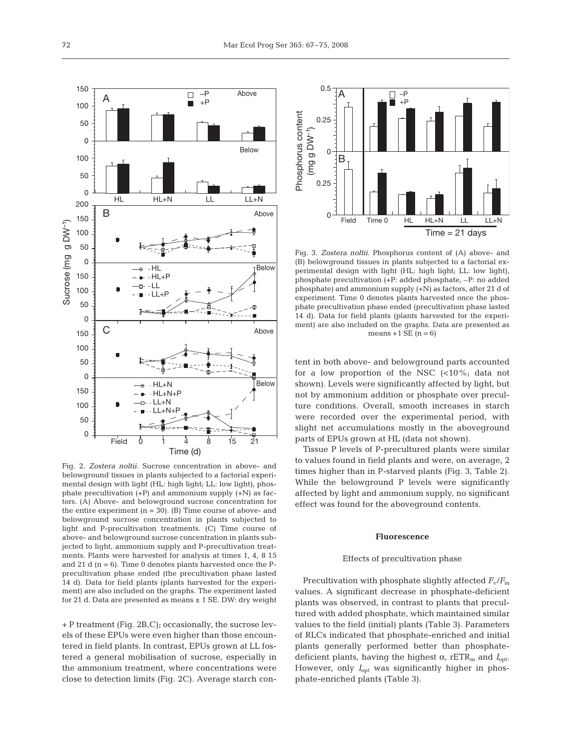

Fig. 2. *Zostera noltii*. Sucrose concentration in above- and belowground tissues in plants subjected to a factorial experimental design with light (HL: high light; LL: low light), phosphate precultivation  $(+P)$  and ammonium supply  $(+N)$  as factors. (A) Above- and belowground sucrose concentration for the entire experiment  $(n = 30)$ . (B) Time course of above- and belowground sucrose concentration in plants subjected to light and P-precultivation treatments. (C) Time course of above- and belowground sucrose concentration in plants subjected to light, ammonium supply and P-precultivation treatments. Plants were harvested for analysis at times 1, 4, 8 15 and 21 d  $(n = 6)$ . Time 0 denotes plants harvested once the Pprecultivation phase ended (the precultivation phase lasted 14 d). Data for field plants (plants harvested for the experiment) are also included on the graphs. The experiment lasted for 21 d. Data are presented as means  $\pm$  1 SE. DW: dry weight

+ P treatment (Fig. 2B,C); occasionally, the sucrose levels of these EPUs were even higher than those encountered in field plants. In contrast, EPUs grown at LL fostered a general mobilisation of sucrose, especially in the ammonium treatment, where concentrations were close to detection limits (Fig. 2C). Average starch con-



Fig. 3. *Zostera noltii*. Phosphorus content of (A) above- and (B) belowground tissues in plants subjected to a factorial experimental design with light (HL: high light; LL: low light), phosphate precultivation (+P: added phosphate, –P: no added phosphate) and ammonium supply (+N) as factors, after 21 d of experiment. Time 0 denotes plants harvested once the phosphate precultivation phase ended (precultivation phase lasted 14 d). Data for field plants (plants harvested for the experiment) are also included on the graphs. Data are presented as means  $+1$  SE (n = 6)

tent in both above- and belowground parts accounted for a low proportion of the NSC  $\left($ <10%; data not shown). Levels were significantly affected by light, but not by ammonium addition or phosphate over preculture conditions. Overall, smooth increases in starch were recorded over the experimental period, with slight net accumulations mostly in the aboveground parts of EPUs grown at HL (data not shown).

Tissue P levels of P-precultured plants were similar to values found in field plants and were, on average, 2 times higher than in P-starved plants (Fig. 3, Table 2). While the belowground P levels were significantly affected by light and ammonium supply, no significant effect was found for the aboveground contents.

#### **Fluorescence**

#### Effects of precultivation phase

Precultivation with phosphate slightly affected  $F_v/F_m$ values. A significant decrease in phosphate-deficient plants was observed, in contrast to plants that precultured with added phosphate, which maintained similar values to the field (initial) plants (Table 3). Parameters of RLCs indicated that phosphate-enriched and initial plants generally performed better than phosphatedeficient plants, having the highest  $\alpha$ , rETR<sub>m</sub> and  $I_{\text{opt}}$ . However, only  $I_{\text{opt}}$  was significantly higher in phosphate-enriched plants (Table 3).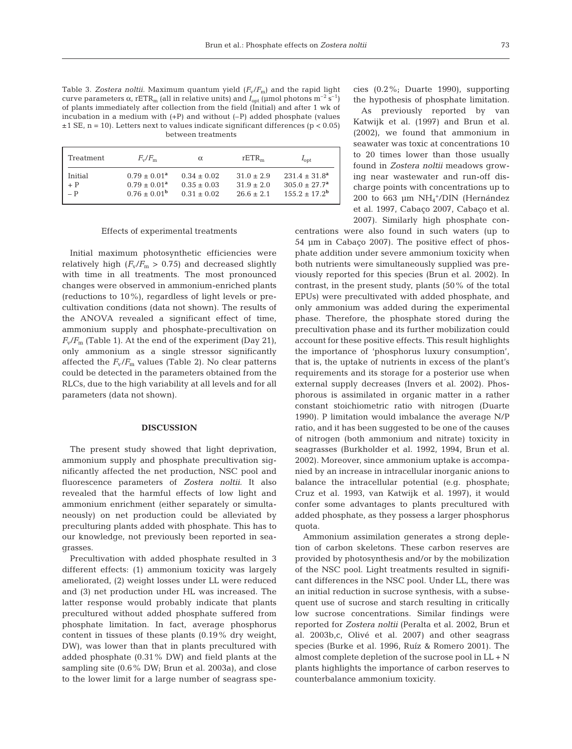Table 3. *Zostera noltii*. Maximum quantum yield (*F*v/*F*m) and the rapid light curve parameters  $\alpha$ , rETR<sub>m</sub> (all in relative units) and  $I_{opt}$  (µmol photons m<sup>-2</sup> s<sup>-1</sup>) of plants immediately after collection from the field (Initial) and after 1 wk of incubation in a medium with (+P) and without (–P) added phosphate (values  $\pm$ 1 SE, n = 10). Letters next to values indicate significant differences (p < 0.05) between treatments

| Treatment                                            | $F_{\rm w}/F_{\rm m}$                                 | $\alpha$                                        | rETR <sub>m</sub>                            | $I_{\text{opt}}$                                                                   |
|------------------------------------------------------|-------------------------------------------------------|-------------------------------------------------|----------------------------------------------|------------------------------------------------------------------------------------|
| Initial<br>$\begin{array}{c} + P \\ - P \end{array}$ | $0.79 \pm 0.01^a$<br>$0.79 + 0.01a$<br>$0.76 + 0.01b$ | $0.34 + 0.02$<br>$0.35 + 0.03$<br>$0.31 + 0.02$ | $31.0 + 2.9$<br>$31.9 + 2.0$<br>$26.6 + 2.1$ | $231.4 \pm 31.8^a$<br>$305.0 \pm 27.7$ <sup>a</sup><br>$155.2 + 17.2^{\mathrm{b}}$ |

### Effects of experimental treatments

Initial maximum photosynthetic efficiencies were relatively high  $(F_v/F_m > 0.75)$  and decreased slightly with time in all treatments. The most pronounced changes were observed in ammonium-enriched plants (reductions to 10%), regardless of light levels or precultivation conditions (data not shown). The results of the ANOVA revealed a significant effect of time, ammonium supply and phosphate-precultivation on  $F_v/F_m$  (Table 1). At the end of the experiment (Day 21), only ammonium as a single stressor significantly affected the  $F_v/F_m$  values (Table 2). No clear patterns could be detected in the parameters obtained from the RLCs, due to the high variability at all levels and for all parameters (data not shown).

#### **DISCUSSION**

The present study showed that light deprivation, ammonium supply and phosphate precultivation significantly affected the net production, NSC pool and fluorescence parameters of *Zostera noltii*. It also revealed that the harmful effects of low light and ammonium enrichment (either separately or simultaneously) on net production could be alleviated by preculturing plants added with phosphate. This has to our knowledge, not previously been reported in seagrasses.

Precultivation with added phosphate resulted in 3 different effects: (1) ammonium toxicity was largely ameliorated, (2) weight losses under LL were reduced and (3) net production under HL was increased. The latter response would probably indicate that plants precultured without added phosphate suffered from phosphate limitation. In fact, average phosphorus content in tissues of these plants (0.19% dry weight, DW), was lower than that in plants precultured with added phosphate (0.31% DW) and field plants at the sampling site (0.6% DW; Brun et al. 2003a), and close to the lower limit for a large number of seagrass species (0.2%; Duarte 1990), supporting the hypothesis of phosphate limitation.

As previously reported by van Katwijk et al. (1997) and Brun et al. (2002), we found that ammonium in seawater was toxic at concentrations 10 to 20 times lower than those usually found in *Zostera noltii* meadows growing near wastewater and run-off discharge points with concentrations up to 200 to 663 µm  $NH_4^+/$ DIN (Hernández et al. 1997, Cabaço 2007, Cabaço et al. 2007). Similarly high phosphate con-

centrations were also found in such waters (up to 54 µm in Cabaço 2007). The positive effect of phosphate addition under severe ammonium toxicity when both nutrients were simultaneously supplied was previously reported for this species (Brun et al. 2002). In contrast, in the present study, plants (50% of the total EPUs) were precultivated with added phosphate, and only ammonium was added during the experimental phase. Therefore, the phosphate stored during the precultivation phase and its further mobilization could account for these positive effects. This result highlights the importance of 'phosphorus luxury consumption', that is, the uptake of nutrients in excess of the plant's requirements and its storage for a posterior use when external supply decreases (Invers et al. 2002). Phosphorous is assimilated in organic matter in a rather constant stoichiometric ratio with nitrogen (Duarte 1990). P limitation would imbalance the average N/P ratio, and it has been suggested to be one of the causes of nitrogen (both ammonium and nitrate) toxicity in seagrasses (Burkholder et al. 1992, 1994, Brun et al. 2002). Moreover, since ammonium uptake is accompanied by an increase in intracellular inorganic anions to balance the intracellular potential (e.g. phosphate; Cruz et al. 1993, van Katwijk et al. 1997), it would confer some advantages to plants precultured with added phosphate, as they possess a larger phosphorus quota.

Ammonium assimilation generates a strong depletion of carbon skeletons. These carbon reserves are provided by photosynthesis and/or by the mobilization of the NSC pool. Light treatments resulted in significant differences in the NSC pool. Under LL, there was an initial reduction in sucrose synthesis, with a subsequent use of sucrose and starch resulting in critically low sucrose concentrations. Similar findings were reported for *Zostera noltii* (Peralta et al. 2002, Brun et al. 2003b,c, Olivé et al. 2007) and other seagrass species (Burke et al. 1996, Ruíz & Romero 2001). The almost complete depletion of the sucrose pool in LL + N plants highlights the importance of carbon reserves to counterbalance ammonium toxicity.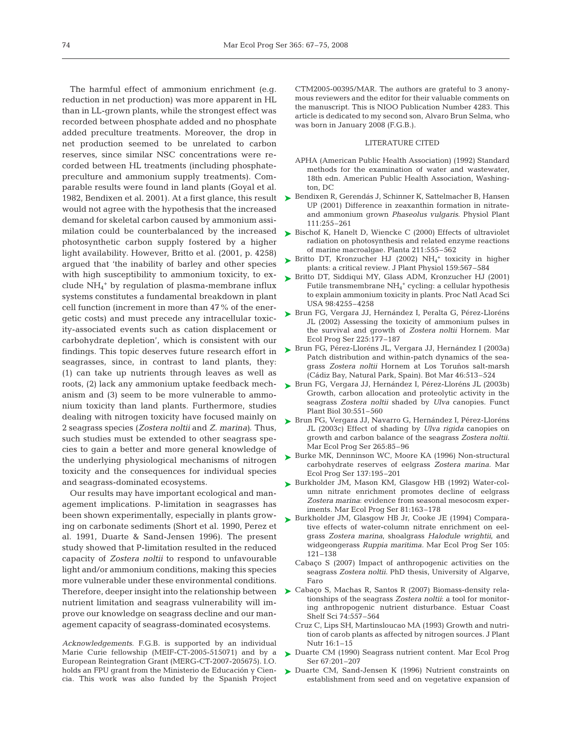The harmful effect of ammonium enrichment (e.g. reduction in net production) was more apparent in HL than in LL-grown plants, while the strongest effect was recorded between phosphate added and no phosphate added preculture treatments. Moreover, the drop in net production seemed to be unrelated to carbon reserves, since similar NSC concentrations were recorded between HL treatments (including phosphatepreculture and ammonium supply treatments). Comparable results were found in land plants (Goyal et al. would not agree with the hypothesis that the increased demand for skeletal carbon caused by ammonium assimilation could be counterbalanced by the increased photosynthetic carbon supply fostered by a higher light availability. However, Britto et al. (2001, p. 4258) argued that 'the inability of barley and other species with high susceptibility to ammonium toxicity, to exclude NH4 <sup>+</sup> by regulation of plasma-membrane influx systems constitutes a fundamental breakdown in plant cell function (increment in more than 47% of the energetic costs) and must precede any intracellular toxicity-associated events such as cation displacement or carbohydrate depletion', which is consistent with our findings. This topic deserves future research effort in seagrasses, since, in contrast to land plants, they: (1) can take up nutrients through leaves as well as roots, (2) lack any ammonium uptake feedback mechanism and (3) seem to be more vulnerable to ammonium toxicity than land plants. Furthermore, studies dealing with nitrogen toxicity have focused mainly on 2 seagrass species (*Zostera noltii* and *Z. marina)*. Thus, such studies must be extended to other seagrass species to gain a better and more general knowledge of the underlying physiological mechanisms of nitrogen toxicity and the consequences for individual species and seagrass-dominated ecosystems.

Our results may have important ecological and management implications. P-limitation in seagrasses has been shown experimentally, especially in plants growing on carbonate sediments (Short et al. 1990, Perez et al. 1991, Duarte & Sand-Jensen 1996). The present study showed that P-limitation resulted in the reduced capacity of *Zostera noltii* to respond to unfavourable light and/or ammonium conditions, making this species more vulnerable under these environmental conditions. nutrient limitation and seagrass vulnerability will improve our knowledge on seagrass decline and our management capacity of seagrass-dominated ecosystems.

*Acknowledgements.* F.G.B. is supported by an individual Marie Curie fellowship (MEIF-CT-2005-515071) and by a European Reintegration Grant (MERG-CT-2007-205675). I.O. holds an FPU grant from the Ministerio de Educación y Ciencia. This work was also funded by the Spanish Project

CTM2005-00395/MAR. The authors are grateful to 3 anonymous reviewers and the editor for their valuable comments on the manuscript. This is NIOO Publication Number 4283. This article is dedicated to my second son, Alvaro Brun Selma, who was born in January 2008 (F.G.B.).

## LITERATURE CITED

- APHA (American Public Health Association) (1992) Standard methods for the examination of water and wastewater, 18th edn. American Public Health Association, Washington, DC
- 1982, Bendixen et al. 2001). At a first glance, this result → Bendixen R, Gerendás J, Schinner K, Sattelmacher B, Hansen UP (2001) Difference in zeaxanthin formation in nitrateand ammonium grown *Phaseolus vulgaris*. Physiol Plant 111:255–261
	- ► Bischof K, Hanelt D, Wiencke C (2000) Effects of ultraviolet radiation on photosynthesis and related enzyme reactions of marine macroalgae. Planta 211:555–562
	- $\blacktriangleright$  Britto DT, Kronzucher HJ (2002)  $NH_4^+$  toxicity in higher plants: a critical review. J Plant Physiol 159:567–584
	- ► Britto DT, Siddiqui MY, Glass ADM, Kronzucher HJ (2001) Futile transmembrane NH<sub>4</sub><sup>+</sup> cycling: a cellular hypothesis to explain ammonium toxicity in plants. Proc Natl Acad Sci USA 98:4255–4258
	- ► Brun FG, Vergara JJ, Hernández I, Peralta G, Pérez-Lloréns JL (2002) Assessing the toxicity of ammonium pulses in the survival and growth of *Zostera noltii* Hornem. Mar Ecol Prog Ser 225:177–187
	- ► Brun FG, Pérez-Lloréns JL, Vergara JJ, Hernández I (2003a) Patch distribution and within-patch dynamics of the seagrass *Zostera noltii* Hornem at Los Toruños salt-marsh (Cádiz Bay, Natural Park, Spain). Bot Mar 46:513–524
	- ► Brun FG, Vergara JJ, Hernández I, Pérez-Lloréns JL (2003b) Growth, carbon allocation and proteolytic activity in the seagrass *Zostera noltii* shaded by *Ulva* canopies. Funct Plant Biol 30:551–560
	- ► Brun FG, Vergara JJ, Navarro G, Hernández I, Pérez-Lloréns JL (2003c) Effect of shading by *Ulva rigida* canopies on growth and carbon balance of the seagrass *Zostera noltii.* Mar Ecol Prog Ser 265:85–96
	- ▶ Burke MK, Denninson WC, Moore KA (1996) Non-structural carbohydrate reserves of eelgrass *Zostera marina.* Mar Ecol Prog Ser 137:195–201
	- ▶ Burkholder JM, Mason KM, Glasgow HB (1992) Water-column nitrate enrichment promotes decline of eelgrass *Zostera marina*: evidence from seasonal mesocosm experiments. Mar Ecol Prog Ser 81:163–178
	- ▶ Burkholder JM, Glasgow HB Jr, Cooke JE (1994) Comparative effects of water-column nitrate enrichment on eelgrass *Zostera marina*, shoalgrass *Halodule wrightii*, and widgeongerass *Ruppia maritima.* Mar Ecol Prog Ser 105: 121–138
		- Cabaço S (2007) Impact of anthropogenic activities on the seagrass *Zostera noltii*. PhD thesis, University of Algarve, Faro
- Therefore, deeper insight into the relationship between ► Cabaço S, Machas R, Santos R (2007) Biomass-density relationships of the seagrass *Zostera noltii*: a tool for monitoring anthropogenic nutrient disturbance. Estuar Coast Shelf Sci 74:557–564
	- Cruz C, Lips SH, Martinsloucao MA (1993) Growth and nutrition of carob plants as affected by nitrogen sources. J Plant Nutr 16:1–15
	- ► Duarte CM (1990) Seagrass nutrient content. Mar Ecol Prog Ser 67:201–207
	- Duarte CM, Sand-Jensen K (1996) Nutrient constraints on establishment from seed and on vegetative expansion of ➤